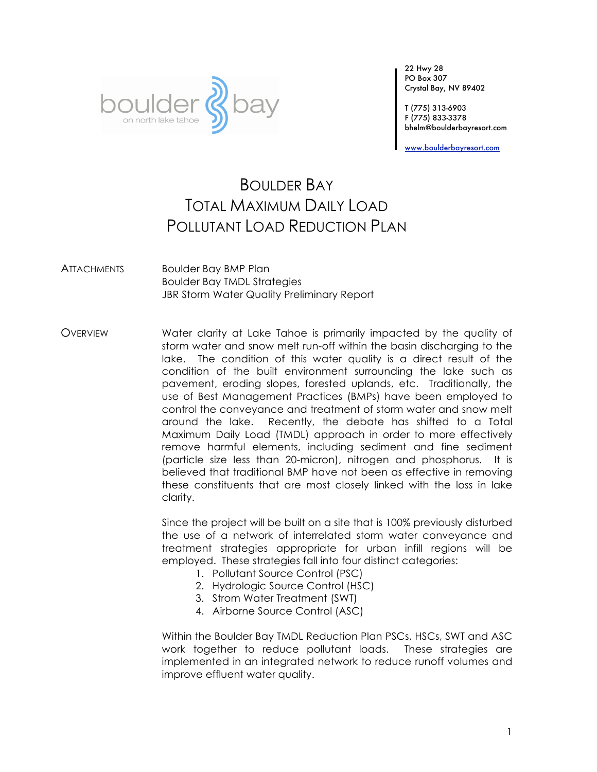

22 Hwy 28 PO Box 307 Crystal Bay, NV 89402

T (775) 313-6903 F (775) 833-3378 bhelm@boulderbayresort.com

www.boulderbayresort.com

# BOULDER BAY TOTAL MAXIMUM DAILY LOAD POLLUTANT LOAD REDUCTION PLAN

ATTACHMENTS Boulder Bay BMP Plan Boulder Bay TMDL Strategies JBR Storm Water Quality Preliminary Report

OVERVIEW Water clarity at Lake Tahoe is primarily impacted by the quality of storm water and snow melt run-off within the basin discharging to the lake. The condition of this water quality is a direct result of the condition of the built environment surrounding the lake such as pavement, eroding slopes, forested uplands, etc. Traditionally, the use of Best Management Practices (BMPs) have been employed to control the conveyance and treatment of storm water and snow melt around the lake. Recently, the debate has shifted to a Total Maximum Daily Load (TMDL) approach in order to more effectively remove harmful elements, including sediment and fine sediment (particle size less than 20-micron), nitrogen and phosphorus. It is believed that traditional BMP have not been as effective in removing these constituents that are most closely linked with the loss in lake clarity.

> Since the project will be built on a site that is 100% previously disturbed the use of a network of interrelated storm water conveyance and treatment strategies appropriate for urban infill regions will be employed. These strategies fall into four distinct categories:

- 1. Pollutant Source Control (PSC)
- 2. Hydrologic Source Control (HSC)
- 3. Strom Water Treatment (SWT)
- 4. Airborne Source Control (ASC)

Within the Boulder Bay TMDL Reduction Plan PSCs, HSCs, SWT and ASC work together to reduce pollutant loads. These strategies are implemented in an integrated network to reduce runoff volumes and improve effluent water quality.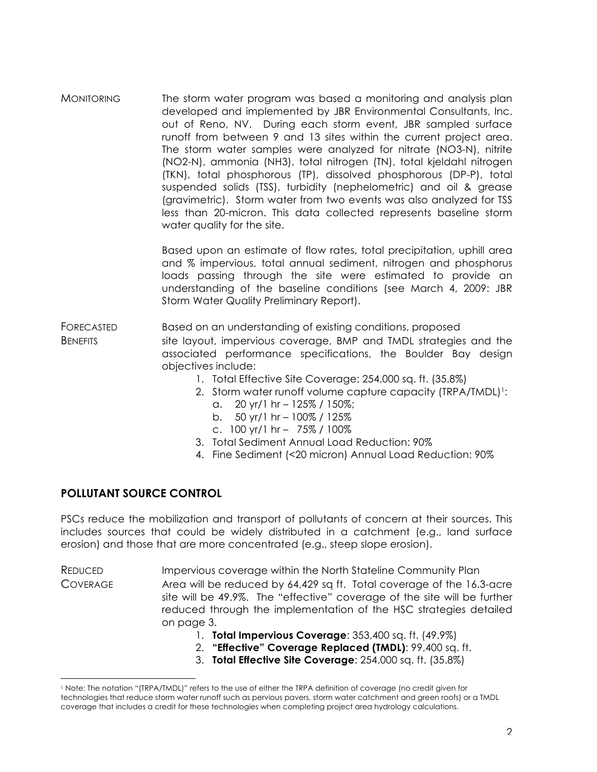MONITORING The storm water program was based a monitoring and analysis plan developed and implemented by JBR Environmental Consultants, Inc. out of Reno, NV. During each storm event, JBR sampled surface runoff from between 9 and 13 sites within the current project area. The storm water samples were analyzed for nitrate (NO3-N), nitrite (NO2-N), ammonia (NH3), total nitrogen (TN), total kjeldahl nitrogen (TKN), total phosphorous (TP), dissolved phosphorous (DP-P), total suspended solids (TSS), turbidity (nephelometric) and oil & grease (gravimetric). Storm water from two events was also analyzed for TSS less than 20-micron. This data collected represents baseline storm water quality for the site.

> Based upon an estimate of flow rates, total precipitation, uphill area and % impervious, total annual sediment, nitrogen and phosphorus loads passing through the site were estimated to provide an understanding of the baseline conditions (see March 4, 2009: JBR Storm Water Quality Preliminary Report).

- FORECASTED Based on an understanding of existing conditions, proposed BENEFITS site layout, impervious coverage, BMP and TMDL strategies and the associated performance specifications, the Boulder Bay design objectives include:
	- 1. Total Effective Site Coverage: 254,000 sq. ft. (35.8%)
	- 2. Storm water runoff volume capture capacity (TRPA/TMDL)<sup>1</sup>:
		- a.  $20 \text{ yr}/1 \text{ hr} 125\% / 150\%;$
		- b.  $50 \text{ yr/l hr} 100\% / 125\%$
		- c. 100 yr/1 hr 75% / 100%
	- 3. Total Sediment Annual Load Reduction: 90%
	- 4. Fine Sediment (<20 micron) Annual Load Reduction: 90%

## **POLLUTANT SOURCE CONTROL**

PSCs reduce the mobilization and transport of pollutants of concern at their sources. This includes sources that could be widely distributed in a catchment (e.g., land surface erosion) and those that are more concentrated (e.g., steep slope erosion).

REDUCED Impervious coverage within the North Stateline Community Plan COVERAGE Area will be reduced by 64,429 sq ft. Total coverage of the 16.3-acre site will be 49.9%. The "effective" coverage of the site will be further reduced through the implementation of the HSC strategies detailed on page 3.

- 1. **Total Impervious Coverage**: 353,400 sq. ft. (49.9%)
- 2. **"Effective" Coverage Replaced (TMDL)**: 99,400 sq. ft.
- 3. **Total Effective Site Coverage**: 254,000 sq. ft. (35.8%)

<sup>1</sup> Note: The notation "(TRPA/TMDL)" refers to the use of either the TRPA definition of coverage (no credit given for technologies that reduce storm water runoff such as pervious pavers, storm water catchment and green roofs) or a TMDL coverage that includes a credit for these technologies when completing project area hydrology calculations.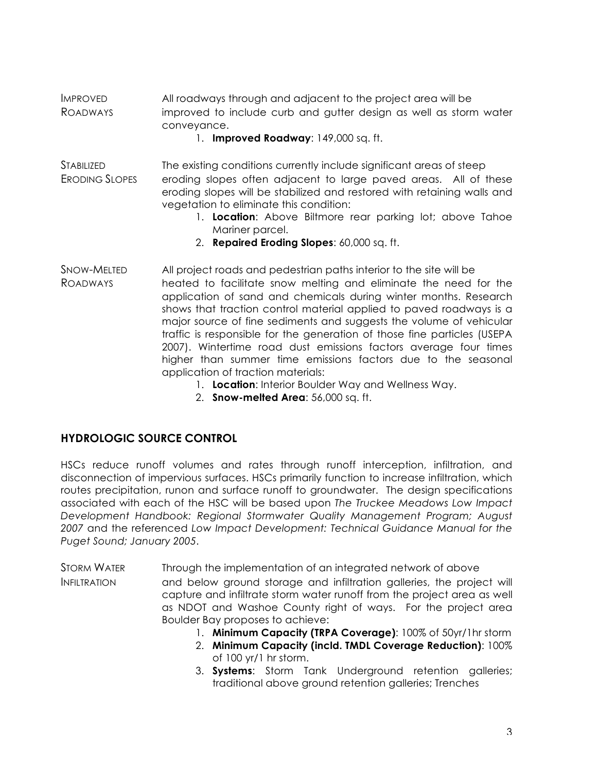IMPROVED All roadways through and adjacent to the project area will be ROADWAYS improved to include curb and gutter design as well as storm water conveyance.

1. **Improved Roadway**: 149,000 sq. ft.

- STABILIZED The existing conditions currently include significant areas of steep ERODING SLOPES eroding slopes often adjacent to large paved areas. All of these eroding slopes will be stabilized and restored with retaining walls and vegetation to eliminate this condition:
	- 1. **Location**: Above Biltmore rear parking lot; above Tahoe Mariner parcel.
	- 2. **Repaired Eroding Slopes**: 60,000 sq. ft.
- SNOW-MELTED All project roads and pedestrian paths interior to the site will be ROADWAYS heated to facilitate snow melting and eliminate the need for the application of sand and chemicals during winter months. Research shows that traction control material applied to paved roadways is a major source of fine sediments and suggests the volume of vehicular traffic is responsible for the generation of those fine particles (USEPA 2007). Wintertime road dust emissions factors average four times higher than summer time emissions factors due to the seasonal application of traction materials:
	- 1. **Location**: Interior Boulder Way and Wellness Way.
		- 2. **Snow-melted Area**: 56,000 sq. ft.

## **HYDROLOGIC SOURCE CONTROL**

HSCs reduce runoff volumes and rates through runoff interception, infiltration, and disconnection of impervious surfaces. HSCs primarily function to increase infiltration, which routes precipitation, runon and surface runoff to groundwater. The design specifications associated with each of the HSC will be based upon *The Truckee Meadows Low Impact Development Handbook: Regional Stormwater Quality Management Program; August 2007* and the referenced *Low Impact Development: Technical Guidance Manual for the Puget Sound; January 2005*.

STORM WATER Through the implementation of an integrated network of above INFILTRATION and below ground storage and infiltration galleries, the project will capture and infiltrate storm water runoff from the project area as well as NDOT and Washoe County right of ways. For the project area Boulder Bay proposes to achieve:

- 1. **Minimum Capacity (TRPA Coverage)**: 100% of 50yr/1hr storm
- 2. **Minimum Capacity (incld. TMDL Coverage Reduction)**: 100% of 100 yr/1 hr storm.
- 3. **Systems**: Storm Tank Underground retention galleries; traditional above ground retention galleries; Trenches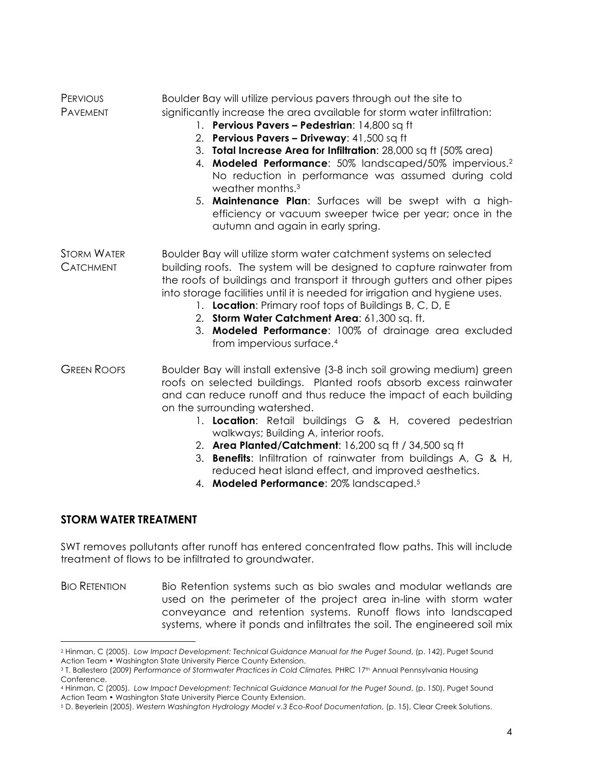| PERVIOUS | Boulder Bay will utilize pervious pavers through out the site to        |
|----------|-------------------------------------------------------------------------|
| PAVEMENT | significantly increase the area available for storm water infiltration: |

- 1. **Pervious Pavers Pedestrian**: 14,800 sq ft
- 2. **Pervious Pavers Driveway**: 41,500 sq ft
- 3. **Total Increase Area for Infiltration**: 28,000 sq ft (50% area)
- 4. **Modeled Performance**: 50% landscaped/50% impervious.2 No reduction in performance was assumed during cold weather months.3
- 5. **Maintenance Plan**: Surfaces will be swept with a highefficiency or vacuum sweeper twice per year; once in the autumn and again in early spring.
- STORM WATER Boulder Bay will utilize storm water catchment systems on selected CATCHMENT building roofs. The system will be designed to capture rainwater from the roofs of buildings and transport it through gutters and other pipes into storage facilities until it is needed for irrigation and hygiene uses.
	- 1. **Location**: Primary roof tops of Buildings B, C, D, E
	- 2. **Storm Water Catchment Area**: 61,300 sq. ft.
	- 3. **Modeled Performance**: 100% of drainage area excluded from impervious surface.4
- GREEN ROOFS Boulder Bay will install extensive (3-8 inch soil growing medium) green roofs on selected buildings. Planted roofs absorb excess rainwater and can reduce runoff and thus reduce the impact of each building on the surrounding watershed.
	- 1. **Location**: Retail buildings G & H, covered pedestrian walkways; Building A, interior roofs.
	- 2. **Area Planted/Catchment**: 16,200 sq ft / 34,500 sq ft
	- 3. **Benefits**: Infiltration of rainwater from buildings A, G & H, reduced heat island effect, and improved aesthetics.
	- 4. **Modeled Performance**: 20% landscaped. 5

### **STORM WATER TREATMENT**

 $\overline{a}$ 

SWT removes pollutants after runoff has entered concentrated flow paths. This will include treatment of flows to be infiltrated to groundwater.

BIO RETENTION Bio Retention systems such as bio swales and modular wetlands are used on the perimeter of the project area in-line with storm water conveyance and retention systems. Runoff flows into landscaped systems, where it ponds and infiltrates the soil. The engineered soil mix

<sup>2</sup> Hinman, C (2005). *Low Impact Development: Technical Guidance Manual for the Puget Sound*, (p. 142), Puget Sound Action Team • Washington State University Pierce County Extension.

<sup>&</sup>lt;sup>3</sup> T. Ballestero (2009) Performance of Stormwater Practices in Cold Climates, PHRC 17<sup>th</sup> Annual Pennsylvania Housing Conference.

<sup>4</sup> Hinman, C (2005). *Low Impact Development: Technical Guidance Manual for the Puget Sound*, (p. 150), Puget Sound Action Team • Washington State University Pierce County Extension.

<sup>5</sup> D. Beyerlein (2005). *Western Washington Hydrology Model v.3 Eco-Roof Documentation*, (p. 15), Clear Creek Solutions.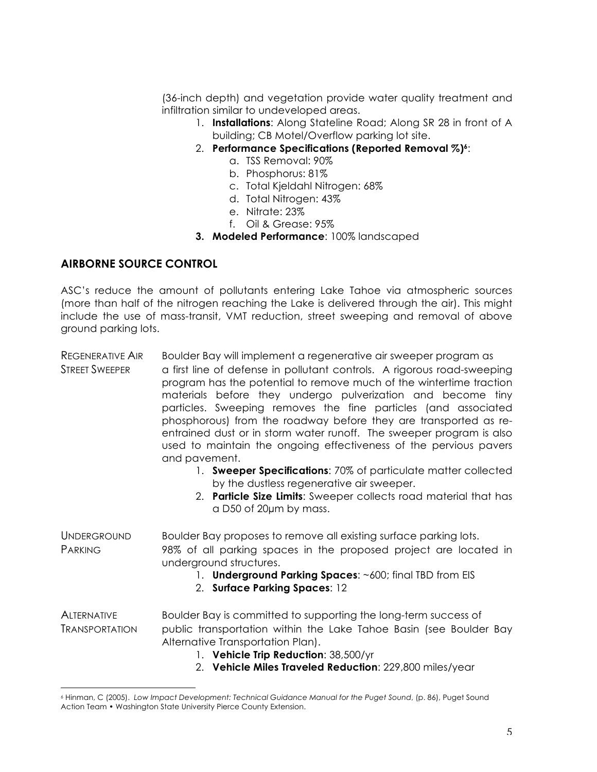(36-inch depth) and vegetation provide water quality treatment and infiltration similar to undeveloped areas.

- 1. **Installations**: Along Stateline Road; Along SR 28 in front of A building; CB Motel/Overflow parking lot site.
- 2. **Performance Specifications (Reported Removal %)6**:
	- a. TSS Removal: 90%
	- b. Phosphorus: 81%
	- c. Total Kjeldahl Nitrogen: 68%
	- d. Total Nitrogen: 43%
	- e. Nitrate: 23%
	- f. Oil & Grease: 95%
- **3. Modeled Performance**: 100% landscaped

### **AIRBORNE SOURCE CONTROL**

 $\overline{a}$ 

ASC's reduce the amount of pollutants entering Lake Tahoe via atmospheric sources (more than half of the nitrogen reaching the Lake is delivered through the air). This might include the use of mass-transit, VMT reduction, street sweeping and removal of above ground parking lots.

- REGENERATIVE AIR Boulder Bay will implement a regenerative air sweeper program as STREET SWEEPER a first line of defense in pollutant controls. A rigorous road-sweeping program has the potential to remove much of the wintertime traction materials before they undergo pulverization and become tiny particles. Sweeping removes the fine particles (and associated phosphorous) from the roadway before they are transported as reentrained dust or in storm water runoff. The sweeper program is also used to maintain the ongoing effectiveness of the pervious pavers and pavement.
	- 1. **Sweeper Specifications**: 70% of particulate matter collected by the dustless regenerative air sweeper.
	- 2. **Particle Size Limits**: Sweeper collects road material that has a D50 of 20µm by mass.
- UNDERGROUND Boulder Bay proposes to remove all existing surface parking lots. PARKING 98% of all parking spaces in the proposed project are located in underground structures.
	- 1. **Underground Parking Spaces:** ~600; final TBD from EIS
	- 2. **Surface Parking Spaces**: 12

ALTERNATIVE Boulder Bay is committed to supporting the long-term success of TRANSPORTATION public transportation within the Lake Tahoe Basin (see Boulder Bay Alternative Transportation Plan).

- 1. **Vehicle Trip Reduction**: 38,500/yr
- 2. **Vehicle Miles Traveled Reduction**: 229,800 miles/year

<sup>6</sup> Hinman, C (2005). *Low Impact Development: Technical Guidance Manual for the Puget Sound*, (p. 86), Puget Sound Action Team • Washington State University Pierce County Extension.